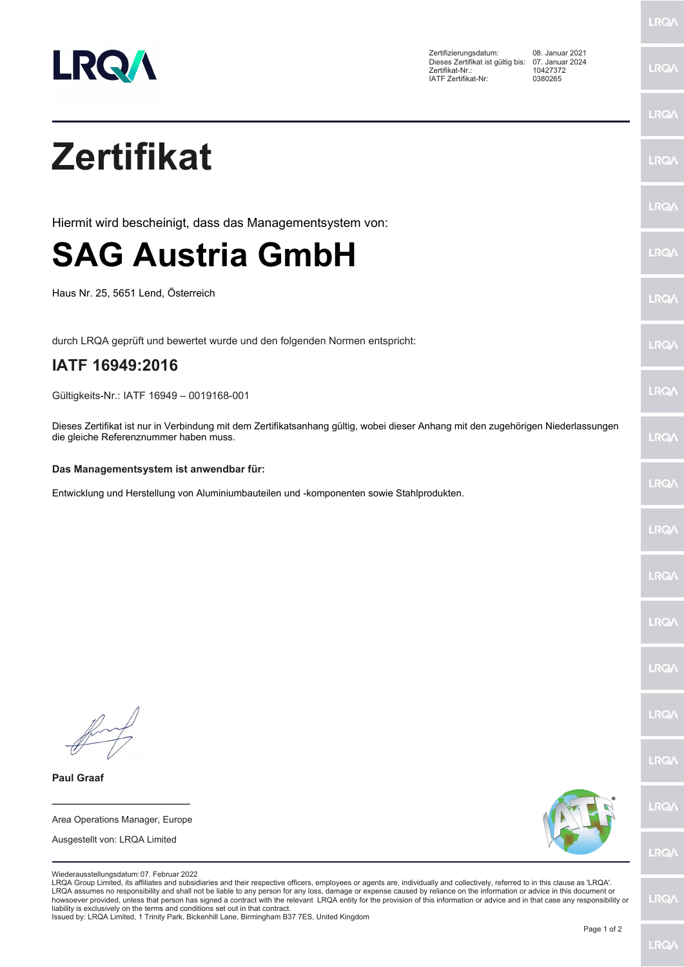

Zertifizierungsdatum: 08. Januar 2021 Dieses Zertifikat ist gültig bis: 07. Januar 2024 Zertifikat-Nr.: 10427372 IATF Zertifikat-Nr: 0380265

**LRQ/\** 

|                                                                                                                                                                                                                                                                                                                                                                                                                                                                                                                                                                                                                                                                                                                                                                                  | <b>LRQA</b> |
|----------------------------------------------------------------------------------------------------------------------------------------------------------------------------------------------------------------------------------------------------------------------------------------------------------------------------------------------------------------------------------------------------------------------------------------------------------------------------------------------------------------------------------------------------------------------------------------------------------------------------------------------------------------------------------------------------------------------------------------------------------------------------------|-------------|
| <b>Zertifikat</b>                                                                                                                                                                                                                                                                                                                                                                                                                                                                                                                                                                                                                                                                                                                                                                | LRQ/        |
|                                                                                                                                                                                                                                                                                                                                                                                                                                                                                                                                                                                                                                                                                                                                                                                  | LRQ/        |
| Hiermit wird bescheinigt, dass das Managementsystem von:                                                                                                                                                                                                                                                                                                                                                                                                                                                                                                                                                                                                                                                                                                                         |             |
| <b>SAG Austria GmbH</b>                                                                                                                                                                                                                                                                                                                                                                                                                                                                                                                                                                                                                                                                                                                                                          | LRQ/        |
| Haus Nr. 25, 5651 Lend, Österreich                                                                                                                                                                                                                                                                                                                                                                                                                                                                                                                                                                                                                                                                                                                                               | <b>LRQ/</b> |
| durch LRQA geprüft und bewertet wurde und den folgenden Normen entspricht:                                                                                                                                                                                                                                                                                                                                                                                                                                                                                                                                                                                                                                                                                                       | <b>LRQ/</b> |
| IATF 16949:2016                                                                                                                                                                                                                                                                                                                                                                                                                                                                                                                                                                                                                                                                                                                                                                  |             |
| Gültigkeits-Nr.: IATF 16949 - 0019168-001                                                                                                                                                                                                                                                                                                                                                                                                                                                                                                                                                                                                                                                                                                                                        | LRQ/        |
| Dieses Zertifikat ist nur in Verbindung mit dem Zertifikatsanhang gültig, wobei dieser Anhang mit den zugehörigen Niederlassungen<br>die gleiche Referenznummer haben muss.                                                                                                                                                                                                                                                                                                                                                                                                                                                                                                                                                                                                      | <b>LRQ/</b> |
| Das Managementsystem ist anwendbar für:                                                                                                                                                                                                                                                                                                                                                                                                                                                                                                                                                                                                                                                                                                                                          |             |
| Entwicklung und Herstellung von Aluminiumbauteilen und -komponenten sowie Stahlprodukten.                                                                                                                                                                                                                                                                                                                                                                                                                                                                                                                                                                                                                                                                                        | <b>LRQ/</b> |
|                                                                                                                                                                                                                                                                                                                                                                                                                                                                                                                                                                                                                                                                                                                                                                                  | <b>LRQ/</b> |
|                                                                                                                                                                                                                                                                                                                                                                                                                                                                                                                                                                                                                                                                                                                                                                                  | <b>LRQ/</b> |
|                                                                                                                                                                                                                                                                                                                                                                                                                                                                                                                                                                                                                                                                                                                                                                                  | <b>LRQA</b> |
|                                                                                                                                                                                                                                                                                                                                                                                                                                                                                                                                                                                                                                                                                                                                                                                  | <b>LRQ/</b> |
|                                                                                                                                                                                                                                                                                                                                                                                                                                                                                                                                                                                                                                                                                                                                                                                  | LRQ/        |
|                                                                                                                                                                                                                                                                                                                                                                                                                                                                                                                                                                                                                                                                                                                                                                                  | LRQ/        |
| <b>Paul Graaf</b>                                                                                                                                                                                                                                                                                                                                                                                                                                                                                                                                                                                                                                                                                                                                                                |             |
| Area Operations Manager, Europe                                                                                                                                                                                                                                                                                                                                                                                                                                                                                                                                                                                                                                                                                                                                                  | <b>LRQ/</b> |
| Ausgestellt von: LRQA Limited                                                                                                                                                                                                                                                                                                                                                                                                                                                                                                                                                                                                                                                                                                                                                    | LRQ/        |
| Wiederausstellungsdatum: 07. Februar 2022<br>LRQA Group Limited, its affiliates and subsidiaries and their respective officers, employees or agents are, individually and collectively, referred to in this clause as 'LRQA'.<br>LRQA assumes no responsibility and shall not be liable to any person for any loss, damage or expense caused by reliance on the information or advice in this document or<br>howsoever provided, unless that person has signed a contract with the relevant LRQA entity for the provision of this information or advice and in that case any responsibility or<br>liability is exclusively on the terms and conditions set out in that contract.<br>Iccupd by: LPOA Limited, 1 Trinity Park, Rickophill Lang, Rirmingham R37 7ES, United Kingdom | <b>LRQA</b> |